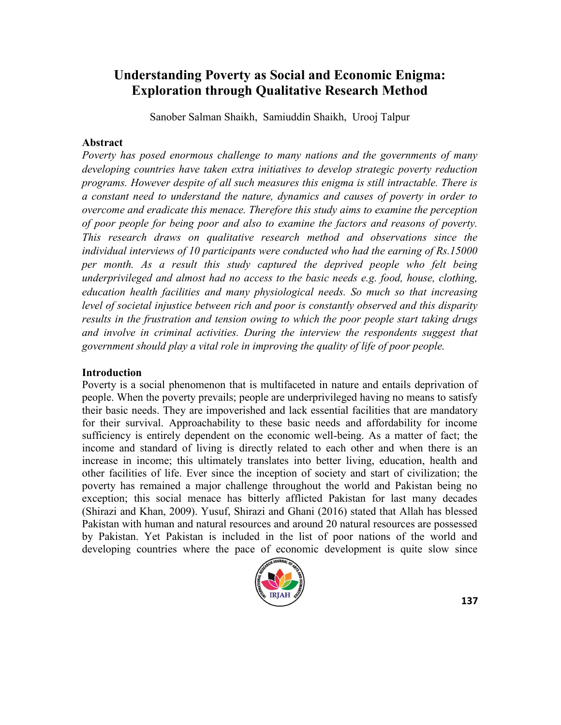# **Understanding Poverty as Social and Economic Enigma: Exploration through Qualitative Research Method**

Sanober Salman Shaikh, Samiuddin Shaikh, Urooj Talpur

#### **Abstract**

*Poverty has posed enormous challenge to many nations and the governments of many developing countries have taken extra initiatives to develop strategic poverty reduction programs. However despite of all such measures this enigma is still intractable. There is a constant need to understand the nature, dynamics and causes of poverty in order to overcome and eradicate this menace. Therefore this study aims to examine the perception of poor people for being poor and also to examine the factors and reasons of poverty. This research draws on qualitative research method and observations since the individual interviews of 10 participants were conducted who had the earning of Rs.15000 per month. As a result this study captured the deprived people who felt being underprivileged and almost had no access to the basic needs e.g. food, house, clothing, education health facilities and many physiological needs. So much so that increasing level of societal injustice between rich and poor is constantly observed and this disparity results in the frustration and tension owing to which the poor people start taking drugs and involve in criminal activities. During the interview the respondents suggest that government should play a vital role in improving the quality of life of poor people.*

### **Introduction**

Poverty is a social phenomenon that is multifaceted in nature and entails deprivation of people. When the poverty prevails; people are underprivileged having no means to satisfy their basic needs. They are impoverished and lack essential facilities that are mandatory for their survival. Approachability to these basic needs and affordability for income sufficiency is entirely dependent on the economic well-being. As a matter of fact; the income and standard of living is directly related to each other and when there is an increase in income; this ultimately translates into better living, education, health and other facilities of life. Ever since the inception of society and start of civilization; the poverty has remained a major challenge throughout the world and Pakistan being no exception; this social menace has bitterly afflicted Pakistan for last many decades (Shirazi and Khan, 2009). Yusuf, Shirazi and Ghani (2016) stated that Allah has blessed Pakistan with human and natural resources and around 20 natural resources are possessed by Pakistan. Yet Pakistan is included in the list of poor nations of the world and developing countries where the pace of economic development is quite slow since

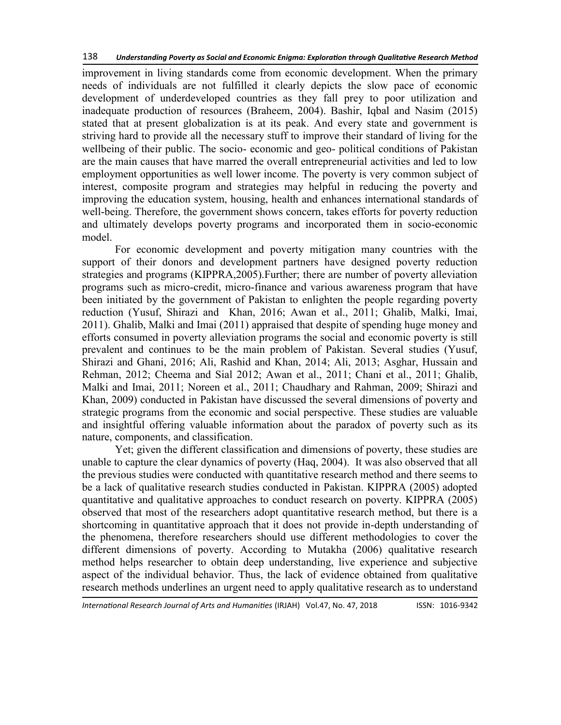improvement in living standards come from economic development. When the primary needs of individuals are not fulfilled it clearly depicts the slow pace of economic development of underdeveloped countries as they fall prey to poor utilization and inadequate production of resources (Braheem, 2004). Bashir, Iqbal and Nasim (2015) stated that at present globalization is at its peak. And every state and government is striving hard to provide all the necessary stuff to improve their standard of living for the wellbeing of their public. The socio- economic and geo- political conditions of Pakistan are the main causes that have marred the overall entrepreneurial activities and led to low employment opportunities as well lower income. The poverty is very common subject of interest, composite program and strategies may helpful in reducing the poverty and improving the education system, housing, health and enhances international standards of well-being. Therefore, the government shows concern, takes efforts for poverty reduction and ultimately develops poverty programs and incorporated them in socio-economic model.

For economic development and poverty mitigation many countries with the support of their donors and development partners have designed poverty reduction strategies and programs (KIPPRA,2005).Further; there are number of poverty alleviation programs such as micro-credit, micro-finance and various awareness program that have been initiated by the government of Pakistan to enlighten the people regarding poverty reduction (Yusuf, Shirazi and Khan, 2016; Awan et al., 2011; Ghalib, Malki, Imai, 2011). Ghalib, Malki and Imai (2011) appraised that despite of spending huge money and efforts consumed in poverty alleviation programs the social and economic poverty is still prevalent and continues to be the main problem of Pakistan. Several studies (Yusuf, Shirazi and Ghani, 2016; Ali, Rashid and Khan, 2014; Ali, 2013; Asghar, Hussain and Rehman, 2012; Cheema and Sial 2012; Awan et al., 2011; Chani et al., 2011; Ghalib, Malki and Imai, 2011; Noreen et al., 2011; Chaudhary and Rahman, 2009; Shirazi and Khan, 2009) conducted in Pakistan have discussed the several dimensions of poverty and strategic programs from the economic and social perspective. These studies are valuable and insightful offering valuable information about the paradox of poverty such as its nature, components, and classification.

Yet; given the different classification and dimensions of poverty, these studies are unable to capture the clear dynamics of poverty (Haq, 2004). It was also observed that all the previous studies were conducted with quantitative research method and there seems to be a lack of qualitative research studies conducted in Pakistan. KIPPRA (2005) adopted quantitative and qualitative approaches to conduct research on poverty. KIPPRA (2005) observed that most of the researchers adopt quantitative research method, but there is a shortcoming in quantitative approach that it does not provide in-depth understanding of the phenomena, therefore researchers should use different methodologies to cover the different dimensions of poverty. According to Mutakha (2006) qualitative research method helps researcher to obtain deep understanding, live experience and subjective aspect of the individual behavior. Thus, the lack of evidence obtained from qualitative research methods underlines an urgent need to apply qualitative research as to understand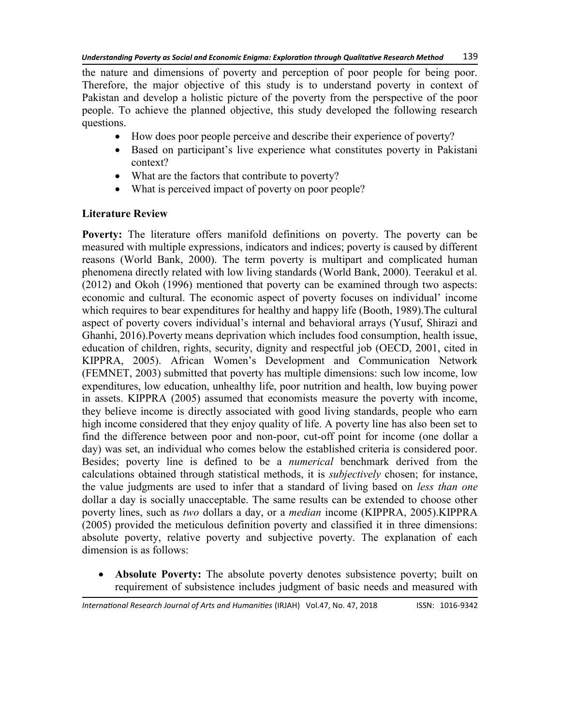the nature and dimensions of poverty and perception of poor people for being poor. Therefore, the major objective of this study is to understand poverty in context of Pakistan and develop a holistic picture of the poverty from the perspective of the poor people. To achieve the planned objective, this study developed the following research questions.

- How does poor people perceive and describe their experience of poverty?
- Based on participant's live experience what constitutes poverty in Pakistani context?
- What are the factors that contribute to poverty?
- What is perceived impact of poverty on poor people?

# **Literature Review**

**Poverty:** The literature offers manifold definitions on poverty. The poverty can be measured with multiple expressions, indicators and indices; poverty is caused by different reasons (World Bank, 2000). The term poverty is multipart and complicated human phenomena directly related with low living standards (World Bank, 2000). Teerakul et al. (2012) and Okoh (1996) mentioned that poverty can be examined through two aspects: economic and cultural. The economic aspect of poverty focuses on individual' income which requires to bear expenditures for healthy and happy life (Booth, 1989).The cultural aspect of poverty covers individual's internal and behavioral arrays (Yusuf, Shirazi and Ghanhi, 2016).Poverty means deprivation which includes food consumption, health issue, education of children, rights, security, dignity and respectful job (OECD, 2001, cited in KIPPRA, 2005). African Women's Development and Communication Network (FEMNET, 2003) submitted that poverty has multiple dimensions: such low income, low expenditures, low education, unhealthy life, poor nutrition and health, low buying power in assets. KIPPRA (2005) assumed that economists measure the poverty with income, they believe income is directly associated with good living standards, people who earn high income considered that they enjoy quality of life. A poverty line has also been set to find the difference between poor and non-poor, cut-off point for income (one dollar a day) was set, an individual who comes below the established criteria is considered poor. Besides; poverty line is defined to be a *numerical* benchmark derived from the calculations obtained through statistical methods, it is *subjectively* chosen; for instance, the value judgments are used to infer that a standard of living based on *less than one*  dollar a day is socially unacceptable. The same results can be extended to choose other poverty lines, such as *two* dollars a day, or a *median* income (KIPPRA, 2005).KIPPRA (2005) provided the meticulous definition poverty and classified it in three dimensions: absolute poverty, relative poverty and subjective poverty. The explanation of each dimension is as follows:

 **Absolute Poverty:** The absolute poverty denotes subsistence poverty; built on requirement of subsistence includes judgment of basic needs and measured with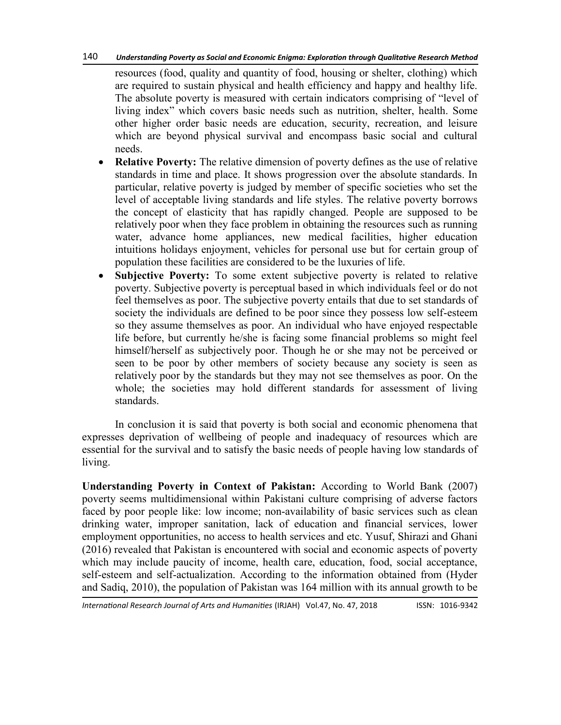#### 140 *Understanding Poverty as Social and Economic Enigma: Exploration through Qualitative Research Method*

resources (food, quality and quantity of food, housing or shelter, clothing) which are required to sustain physical and health efficiency and happy and healthy life. The absolute poverty is measured with certain indicators comprising of "level of living index" which covers basic needs such as nutrition, shelter, health. Some other higher order basic needs are education, security, recreation, and leisure which are beyond physical survival and encompass basic social and cultural needs.

- **Relative Poverty:** The relative dimension of poverty defines as the use of relative standards in time and place. It shows progression over the absolute standards. In particular, relative poverty is judged by member of specific societies who set the level of acceptable living standards and life styles. The relative poverty borrows the concept of elasticity that has rapidly changed. People are supposed to be relatively poor when they face problem in obtaining the resources such as running water, advance home appliances, new medical facilities, higher education intuitions holidays enjoyment, vehicles for personal use but for certain group of population these facilities are considered to be the luxuries of life.
- **Subjective Poverty:** To some extent subjective poverty is related to relative poverty. Subjective poverty is perceptual based in which individuals feel or do not feel themselves as poor. The subjective poverty entails that due to set standards of society the individuals are defined to be poor since they possess low self-esteem so they assume themselves as poor. An individual who have enjoyed respectable life before, but currently he/she is facing some financial problems so might feel himself/herself as subjectively poor. Though he or she may not be perceived or seen to be poor by other members of society because any society is seen as relatively poor by the standards but they may not see themselves as poor. On the whole; the societies may hold different standards for assessment of living standards.

In conclusion it is said that poverty is both social and economic phenomena that expresses deprivation of wellbeing of people and inadequacy of resources which are essential for the survival and to satisfy the basic needs of people having low standards of living.

**Understanding Poverty in Context of Pakistan:** According to World Bank (2007) poverty seems multidimensional within Pakistani culture comprising of adverse factors faced by poor people like: low income; non-availability of basic services such as clean drinking water, improper sanitation, lack of education and financial services, lower employment opportunities, no access to health services and etc. Yusuf, Shirazi and Ghani (2016) revealed that Pakistan is encountered with social and economic aspects of poverty which may include paucity of income, health care, education, food, social acceptance, self-esteem and self-actualization. According to the information obtained from (Hyder and Sadiq, 2010), the population of Pakistan was 164 million with its annual growth to be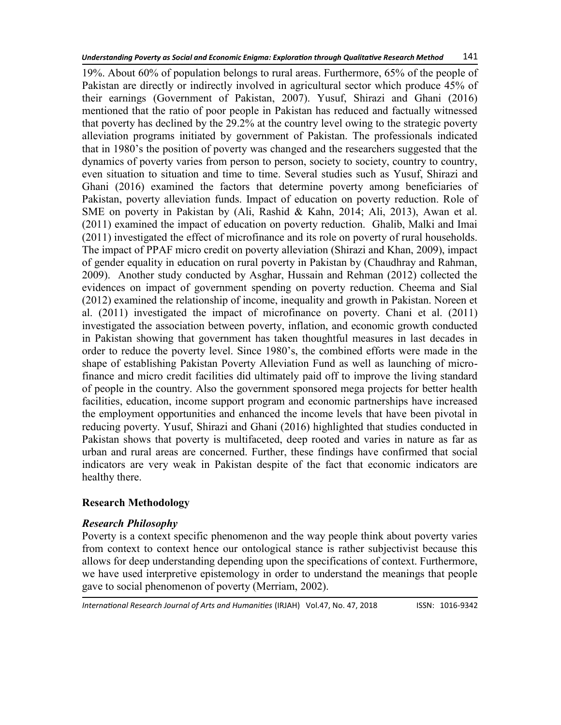19%. About 60% of population belongs to rural areas. Furthermore, 65% of the people of Pakistan are directly or indirectly involved in agricultural sector which produce 45% of their earnings (Government of Pakistan, 2007). Yusuf, Shirazi and Ghani (2016) mentioned that the ratio of poor people in Pakistan has reduced and factually witnessed that poverty has declined by the 29.2% at the country level owing to the strategic poverty alleviation programs initiated by government of Pakistan. The professionals indicated that in 1980's the position of poverty was changed and the researchers suggested that the dynamics of poverty varies from person to person, society to society, country to country, even situation to situation and time to time. Several studies such as Yusuf, Shirazi and Ghani (2016) examined the factors that determine poverty among beneficiaries of Pakistan, poverty alleviation funds. Impact of education on poverty reduction. Role of SME on poverty in Pakistan by (Ali, Rashid & Kahn, 2014; Ali, 2013), Awan et al. (2011) examined the impact of education on poverty reduction. Ghalib, Malki and Imai (2011) investigated the effect of microfinance and its role on poverty of rural households. The impact of PPAF micro credit on poverty alleviation (Shirazi and Khan, 2009), impact of gender equality in education on rural poverty in Pakistan by (Chaudhray and Rahman, 2009). Another study conducted by Asghar, Hussain and Rehman (2012) collected the evidences on impact of government spending on poverty reduction. Cheema and Sial (2012) examined the relationship of income, inequality and growth in Pakistan. Noreen et al. (2011) investigated the impact of microfinance on poverty. Chani et al. (2011) investigated the association between poverty, inflation, and economic growth conducted in Pakistan showing that government has taken thoughtful measures in last decades in order to reduce the poverty level. Since 1980's, the combined efforts were made in the shape of establishing Pakistan Poverty Alleviation Fund as well as launching of microfinance and micro credit facilities did ultimately paid off to improve the living standard of people in the country. Also the government sponsored mega projects for better health facilities, education, income support program and economic partnerships have increased the employment opportunities and enhanced the income levels that have been pivotal in reducing poverty. Yusuf, Shirazi and Ghani (2016) highlighted that studies conducted in Pakistan shows that poverty is multifaceted, deep rooted and varies in nature as far as urban and rural areas are concerned. Further, these findings have confirmed that social indicators are very weak in Pakistan despite of the fact that economic indicators are healthy there.

# **Research Methodology**

# *Research Philosophy*

Poverty is a context specific phenomenon and the way people think about poverty varies from context to context hence our ontological stance is rather subjectivist because this allows for deep understanding depending upon the specifications of context. Furthermore, we have used interpretive epistemology in order to understand the meanings that people gave to social phenomenon of poverty (Merriam, 2002).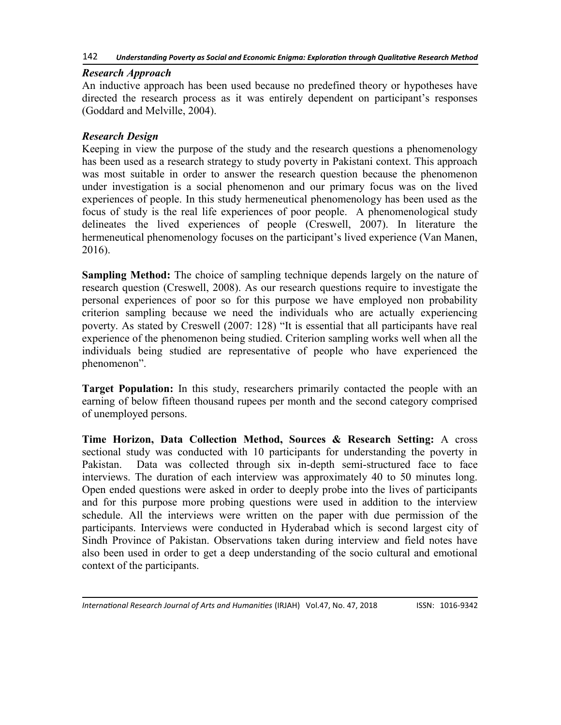## *Research Approach*

An inductive approach has been used because no predefined theory or hypotheses have directed the research process as it was entirely dependent on participant's responses (Goddard and Melville, 2004).

# *Research Design*

Keeping in view the purpose of the study and the research questions a phenomenology has been used as a research strategy to study poverty in Pakistani context. This approach was most suitable in order to answer the research question because the phenomenon under investigation is a social phenomenon and our primary focus was on the lived experiences of people. In this study hermeneutical phenomenology has been used as the focus of study is the real life experiences of poor people. A phenomenological study delineates the lived experiences of people (Creswell, 2007). In literature the hermeneutical phenomenology focuses on the participant's lived experience (Van Manen, 2016).

**Sampling Method:** The choice of sampling technique depends largely on the nature of research question (Creswell, 2008). As our research questions require to investigate the personal experiences of poor so for this purpose we have employed non probability criterion sampling because we need the individuals who are actually experiencing poverty. As stated by Creswell (2007: 128) "It is essential that all participants have real experience of the phenomenon being studied. Criterion sampling works well when all the individuals being studied are representative of people who have experienced the phenomenon".

**Target Population:** In this study, researchers primarily contacted the people with an earning of below fifteen thousand rupees per month and the second category comprised of unemployed persons.

**Time Horizon, Data Collection Method, Sources & Research Setting:** A cross sectional study was conducted with 10 participants for understanding the poverty in Pakistan. Data was collected through six in-depth semi-structured face to face interviews. The duration of each interview was approximately 40 to 50 minutes long. Open ended questions were asked in order to deeply probe into the lives of participants and for this purpose more probing questions were used in addition to the interview schedule. All the interviews were written on the paper with due permission of the participants. Interviews were conducted in Hyderabad which is second largest city of Sindh Province of Pakistan. Observations taken during interview and field notes have also been used in order to get a deep understanding of the socio cultural and emotional context of the participants.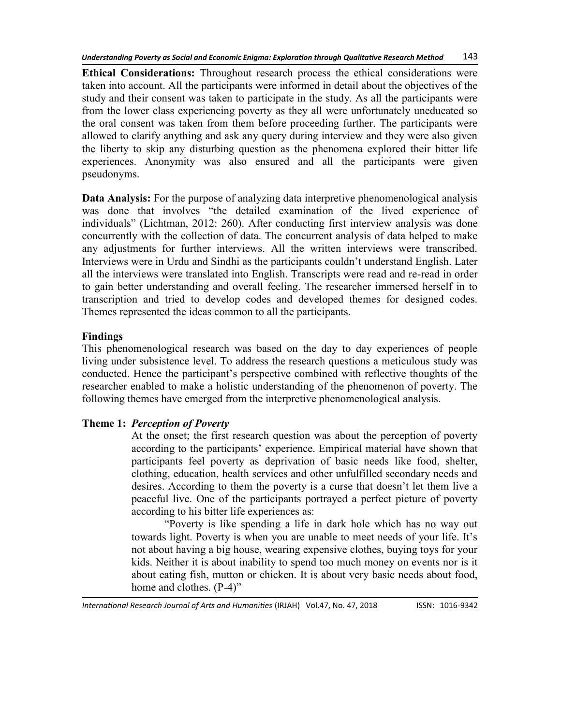**Ethical Considerations:** Throughout research process the ethical considerations were taken into account. All the participants were informed in detail about the objectives of the study and their consent was taken to participate in the study. As all the participants were from the lower class experiencing poverty as they all were unfortunately uneducated so the oral consent was taken from them before proceeding further. The participants were allowed to clarify anything and ask any query during interview and they were also given the liberty to skip any disturbing question as the phenomena explored their bitter life experiences. Anonymity was also ensured and all the participants were given pseudonyms.

**Data Analysis:** For the purpose of analyzing data interpretive phenomenological analysis was done that involves "the detailed examination of the lived experience of individuals" (Lichtman, 2012: 260). After conducting first interview analysis was done concurrently with the collection of data. The concurrent analysis of data helped to make any adjustments for further interviews. All the written interviews were transcribed. Interviews were in Urdu and Sindhi as the participants couldn't understand English. Later all the interviews were translated into English. Transcripts were read and re-read in order to gain better understanding and overall feeling. The researcher immersed herself in to transcription and tried to develop codes and developed themes for designed codes. Themes represented the ideas common to all the participants.

## **Findings**

This phenomenological research was based on the day to day experiences of people living under subsistence level. To address the research questions a meticulous study was conducted. Hence the participant's perspective combined with reflective thoughts of the researcher enabled to make a holistic understanding of the phenomenon of poverty. The following themes have emerged from the interpretive phenomenological analysis.

# **Theme 1:** *Perception of Poverty*

At the onset; the first research question was about the perception of poverty according to the participants' experience. Empirical material have shown that participants feel poverty as deprivation of basic needs like food, shelter, clothing, education, health services and other unfulfilled secondary needs and desires. According to them the poverty is a curse that doesn't let them live a peaceful live. One of the participants portrayed a perfect picture of poverty according to his bitter life experiences as:

―Poverty is like spending a life in dark hole which has no way out towards light. Poverty is when you are unable to meet needs of your life. It's not about having a big house, wearing expensive clothes, buying toys for your kids. Neither it is about inability to spend too much money on events nor is it about eating fish, mutton or chicken. It is about very basic needs about food, home and clothes.  $(P-4)$ <sup>"</sup>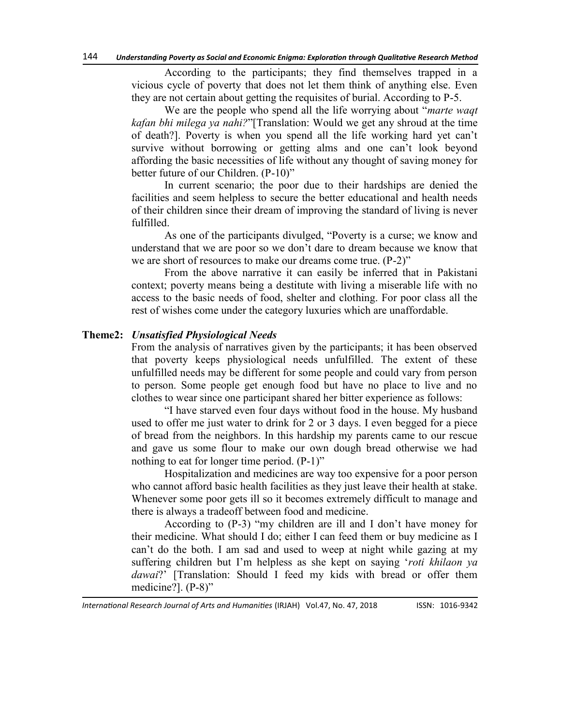According to the participants; they find themselves trapped in a vicious cycle of poverty that does not let them think of anything else. Even they are not certain about getting the requisites of burial. According to P-5.

We are the people who spend all the life worrying about "*marte waqt kafan bhi milega ya nahi?*‖[Translation: Would we get any shroud at the time of death?]. Poverty is when you spend all the life working hard yet can't survive without borrowing or getting alms and one can't look beyond affording the basic necessities of life without any thought of saving money for better future of our Children. (P-10)"

In current scenario; the poor due to their hardships are denied the facilities and seem helpless to secure the better educational and health needs of their children since their dream of improving the standard of living is never fulfilled.

As one of the participants divulged, "Poverty is a curse; we know and understand that we are poor so we don't dare to dream because we know that we are short of resources to make our dreams come true.  $(P-2)$ <sup>"</sup>

From the above narrative it can easily be inferred that in Pakistani context; poverty means being a destitute with living a miserable life with no access to the basic needs of food, shelter and clothing. For poor class all the rest of wishes come under the category luxuries which are unaffordable.

#### **Theme2:** *Unsatisfied Physiological Needs*

From the analysis of narratives given by the participants; it has been observed that poverty keeps physiological needs unfulfilled. The extent of these unfulfilled needs may be different for some people and could vary from person to person. Some people get enough food but have no place to live and no clothes to wear since one participant shared her bitter experience as follows:

"I have starved even four days without food in the house. My husband used to offer me just water to drink for 2 or 3 days. I even begged for a piece of bread from the neighbors. In this hardship my parents came to our rescue and gave us some flour to make our own dough bread otherwise we had nothing to eat for longer time period.  $(P-1)$ "

Hospitalization and medicines are way too expensive for a poor person who cannot afford basic health facilities as they just leave their health at stake. Whenever some poor gets ill so it becomes extremely difficult to manage and there is always a tradeoff between food and medicine.

According to  $(P-3)$  "my children are ill and I don't have money for their medicine. What should I do; either I can feed them or buy medicine as I can't do the both. I am sad and used to weep at night while gazing at my suffering children but I'm helpless as she kept on saying ‗*roti khilaon ya dawai*?' [Translation: Should I feed my kids with bread or offer them medicine?].  $(P-8)$ "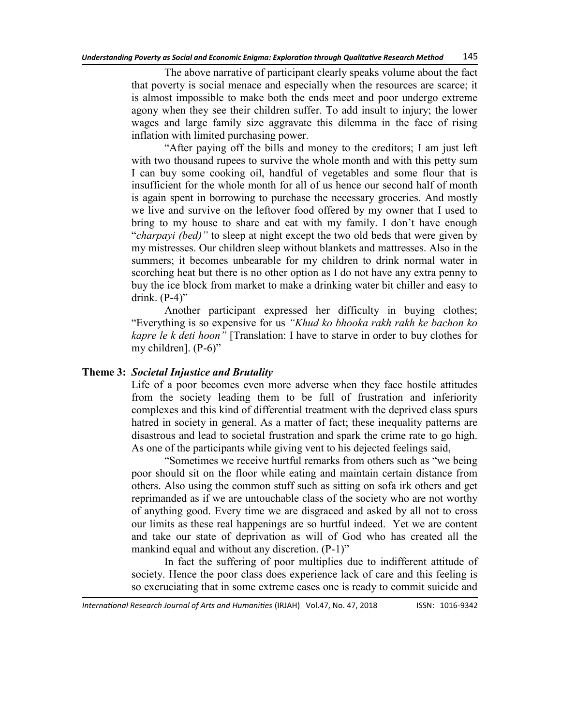The above narrative of participant clearly speaks volume about the fact that poverty is social menace and especially when the resources are scarce; it is almost impossible to make both the ends meet and poor undergo extreme agony when they see their children suffer. To add insult to injury; the lower wages and large family size aggravate this dilemma in the face of rising inflation with limited purchasing power.

―After paying off the bills and money to the creditors; I am just left with two thousand rupees to survive the whole month and with this petty sum I can buy some cooking oil, handful of vegetables and some flour that is insufficient for the whole month for all of us hence our second half of month is again spent in borrowing to purchase the necessary groceries. And mostly we live and survive on the leftover food offered by my owner that I used to bring to my house to share and eat with my family. I don't have enough "*charpayi (bed)*" to sleep at night except the two old beds that were given by my mistresses. Our children sleep without blankets and mattresses. Also in the summers; it becomes unbearable for my children to drink normal water in scorching heat but there is no other option as I do not have any extra penny to buy the ice block from market to make a drinking water bit chiller and easy to drink.  $(P-4)$ "

Another participant expressed her difficulty in buying clothes; ―Everything is so expensive for us *―Khud ko bhooka rakh rakh ke bachon ko kapre le k deti hoon*" [Translation: I have to starve in order to buy clothes for my children].  $(P-6)$ "

### **Theme 3:** *Societal Injustice and Brutality*

Life of a poor becomes even more adverse when they face hostile attitudes from the society leading them to be full of frustration and inferiority complexes and this kind of differential treatment with the deprived class spurs hatred in society in general. As a matter of fact; these inequality patterns are disastrous and lead to societal frustration and spark the crime rate to go high. As one of the participants while giving vent to his dejected feelings said,

"Sometimes we receive hurtful remarks from others such as "we being poor should sit on the floor while eating and maintain certain distance from others. Also using the common stuff such as sitting on sofa irk others and get reprimanded as if we are untouchable class of the society who are not worthy of anything good. Every time we are disgraced and asked by all not to cross our limits as these real happenings are so hurtful indeed. Yet we are content and take our state of deprivation as will of God who has created all the mankind equal and without any discretion.  $(P-1)$ <sup>"</sup>

In fact the suffering of poor multiplies due to indifferent attitude of society. Hence the poor class does experience lack of care and this feeling is so excruciating that in some extreme cases one is ready to commit suicide and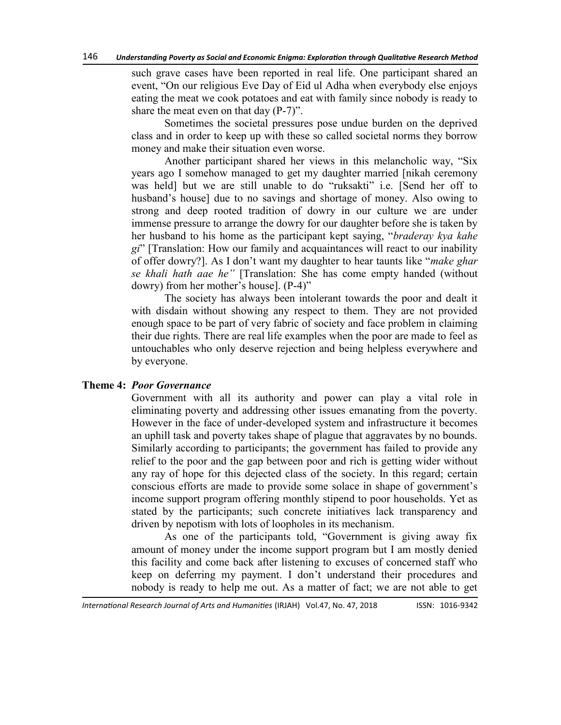such grave cases have been reported in real life. One participant shared an event, "On our religious Eve Day of Eid ul Adha when everybody else enjoys eating the meat we cook potatoes and eat with family since nobody is ready to share the meat even on that day  $(P-7)$ .

Sometimes the societal pressures pose undue burden on the deprived class and in order to keep up with these so called societal norms they borrow money and make their situation even worse.

Another participant shared her views in this melancholic way, "Six years ago I somehow managed to get my daughter married [nikah ceremony was held] but we are still unable to do "ruksakti" i.e. [Send her off to husband's house] due to no savings and shortage of money. Also owing to strong and deep rooted tradition of dowry in our culture we are under immense pressure to arrange the dowry for our daughter before she is taken by her husband to his home as the participant kept saying, "braderay kya kahe *gi*‖ [Translation: How our family and acquaintances will react to our inability of offer dowry?]. As I don't want my daughter to hear taunts like "*make ghar se khali hath aae he‖* [Translation: She has come empty handed (without dowry) from her mother's house]. (P-4)"

The society has always been intolerant towards the poor and dealt it with disdain without showing any respect to them. They are not provided enough space to be part of very fabric of society and face problem in claiming their due rights. There are real life examples when the poor are made to feel as untouchables who only deserve rejection and being helpless everywhere and by everyone.

### **Theme 4:** *Poor Governance*

Government with all its authority and power can play a vital role in eliminating poverty and addressing other issues emanating from the poverty. However in the face of under-developed system and infrastructure it becomes an uphill task and poverty takes shape of plague that aggravates by no bounds. Similarly according to participants; the government has failed to provide any relief to the poor and the gap between poor and rich is getting wider without any ray of hope for this dejected class of the society. In this regard; certain conscious efforts are made to provide some solace in shape of government's income support program offering monthly stipend to poor households. Yet as stated by the participants; such concrete initiatives lack transparency and driven by nepotism with lots of loopholes in its mechanism.

As one of the participants told, "Government is giving away fix amount of money under the income support program but I am mostly denied this facility and come back after listening to excuses of concerned staff who keep on deferring my payment. I don't understand their procedures and nobody is ready to help me out. As a matter of fact; we are not able to get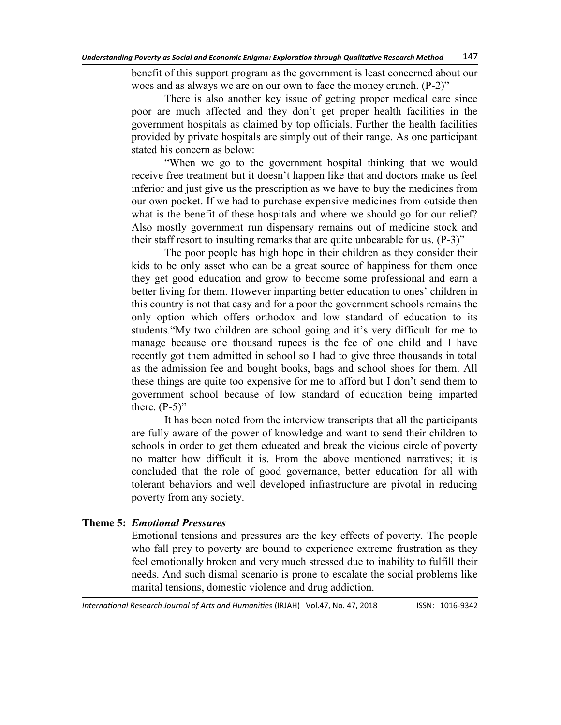benefit of this support program as the government is least concerned about our woes and as always we are on our own to face the money crunch. (P-2)"

There is also another key issue of getting proper medical care since poor are much affected and they don't get proper health facilities in the government hospitals as claimed by top officials. Further the health facilities provided by private hospitals are simply out of their range. As one participant stated his concern as below:

―When we go to the government hospital thinking that we would receive free treatment but it doesn't happen like that and doctors make us feel inferior and just give us the prescription as we have to buy the medicines from our own pocket. If we had to purchase expensive medicines from outside then what is the benefit of these hospitals and where we should go for our relief? Also mostly government run dispensary remains out of medicine stock and their staff resort to insulting remarks that are quite unbearable for us.  $(P-3)$ "

The poor people has high hope in their children as they consider their kids to be only asset who can be a great source of happiness for them once they get good education and grow to become some professional and earn a better living for them. However imparting better education to ones' children in this country is not that easy and for a poor the government schools remains the only option which offers orthodox and low standard of education to its students. "My two children are school going and it's very difficult for me to manage because one thousand rupees is the fee of one child and I have recently got them admitted in school so I had to give three thousands in total as the admission fee and bought books, bags and school shoes for them. All these things are quite too expensive for me to afford but I don't send them to government school because of low standard of education being imparted there.  $(P-5)$ "

It has been noted from the interview transcripts that all the participants are fully aware of the power of knowledge and want to send their children to schools in order to get them educated and break the vicious circle of poverty no matter how difficult it is. From the above mentioned narratives; it is concluded that the role of good governance, better education for all with tolerant behaviors and well developed infrastructure are pivotal in reducing poverty from any society.

# **Theme 5:** *Emotional Pressures*

Emotional tensions and pressures are the key effects of poverty. The people who fall prey to poverty are bound to experience extreme frustration as they feel emotionally broken and very much stressed due to inability to fulfill their needs. And such dismal scenario is prone to escalate the social problems like marital tensions, domestic violence and drug addiction.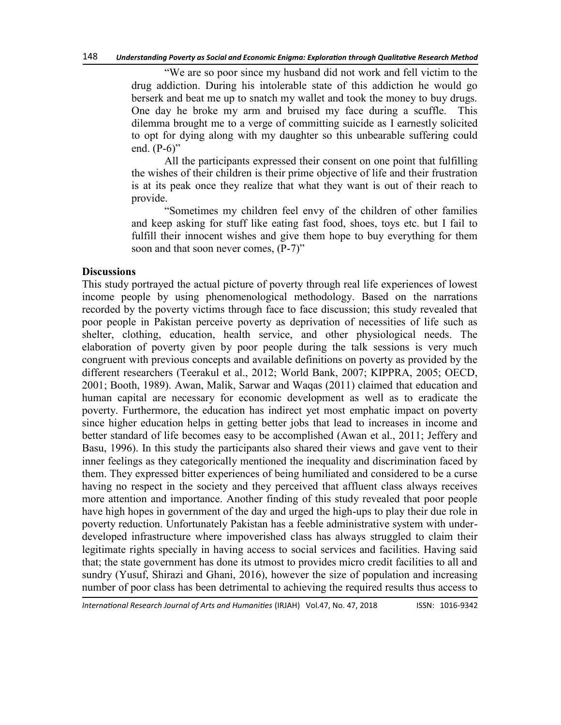―We are so poor since my husband did not work and fell victim to the drug addiction. During his intolerable state of this addiction he would go berserk and beat me up to snatch my wallet and took the money to buy drugs. One day he broke my arm and bruised my face during a scuffle. This dilemma brought me to a verge of committing suicide as I earnestly solicited to opt for dying along with my daughter so this unbearable suffering could end.  $(P-6)$ "

All the participants expressed their consent on one point that fulfilling the wishes of their children is their prime objective of life and their frustration is at its peak once they realize that what they want is out of their reach to provide.

―Sometimes my children feel envy of the children of other families and keep asking for stuff like eating fast food, shoes, toys etc. but I fail to fulfill their innocent wishes and give them hope to buy everything for them soon and that soon never comes,  $(P-7)$ "

#### **Discussions**

This study portrayed the actual picture of poverty through real life experiences of lowest income people by using phenomenological methodology. Based on the narrations recorded by the poverty victims through face to face discussion; this study revealed that poor people in Pakistan perceive poverty as deprivation of necessities of life such as shelter, clothing, education, health service, and other physiological needs. The elaboration of poverty given by poor people during the talk sessions is very much congruent with previous concepts and available definitions on poverty as provided by the different researchers (Teerakul et al., 2012; World Bank, 2007; KIPPRA, 2005; OECD, 2001; Booth, 1989). Awan, Malik, Sarwar and Waqas (2011) claimed that education and human capital are necessary for economic development as well as to eradicate the poverty. Furthermore, the education has indirect yet most emphatic impact on poverty since higher education helps in getting better jobs that lead to increases in income and better standard of life becomes easy to be accomplished (Awan et al., 2011; Jeffery and Basu, 1996). In this study the participants also shared their views and gave vent to their inner feelings as they categorically mentioned the inequality and discrimination faced by them. They expressed bitter experiences of being humiliated and considered to be a curse having no respect in the society and they perceived that affluent class always receives more attention and importance. Another finding of this study revealed that poor people have high hopes in government of the day and urged the high-ups to play their due role in poverty reduction. Unfortunately Pakistan has a feeble administrative system with underdeveloped infrastructure where impoverished class has always struggled to claim their legitimate rights specially in having access to social services and facilities. Having said that; the state government has done its utmost to provides micro credit facilities to all and sundry (Yusuf, Shirazi and Ghani, 2016), however the size of population and increasing number of poor class has been detrimental to achieving the required results thus access to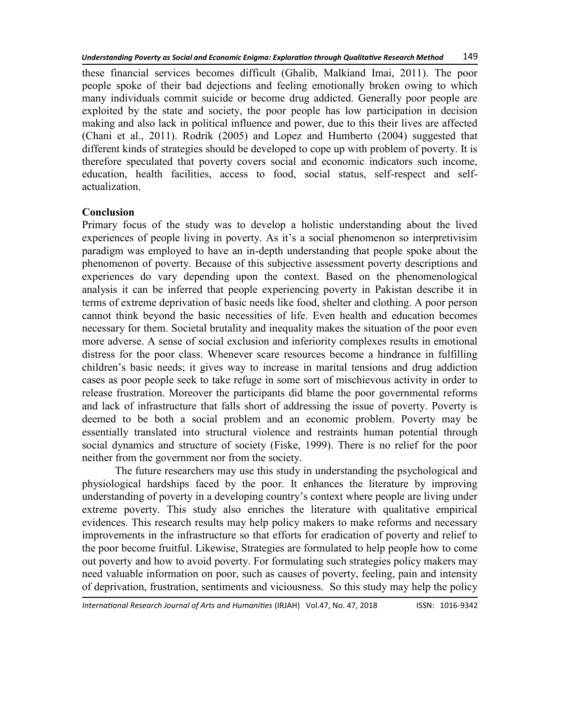these financial services becomes difficult (Ghalib, Malkiand Imai, 2011). The poor people spoke of their bad dejections and feeling emotionally broken owing to which many individuals commit suicide or become drug addicted. Generally poor people are exploited by the state and society, the poor people has low participation in decision making and also lack in political influence and power, due to this their lives are affected (Chani et al., 2011). Rodrik (2005) and Lopez and Humberto (2004) suggested that different kinds of strategies should be developed to cope up with problem of poverty. It is therefore speculated that poverty covers social and economic indicators such income, education, health facilities, access to food, social status, self-respect and selfactualization.

# **Conclusion**

Primary focus of the study was to develop a holistic understanding about the lived experiences of people living in poverty. As it's a social phenomenon so interpretivisim paradigm was employed to have an in-depth understanding that people spoke about the phenomenon of poverty. Because of this subjective assessment poverty descriptions and experiences do vary depending upon the context. Based on the phenomenological analysis it can be inferred that people experiencing poverty in Pakistan describe it in terms of extreme deprivation of basic needs like food, shelter and clothing. A poor person cannot think beyond the basic necessities of life. Even health and education becomes necessary for them. Societal brutality and inequality makes the situation of the poor even more adverse. A sense of social exclusion and inferiority complexes results in emotional distress for the poor class. Whenever scare resources become a hindrance in fulfilling children's basic needs; it gives way to increase in marital tensions and drug addiction cases as poor people seek to take refuge in some sort of mischievous activity in order to release frustration. Moreover the participants did blame the poor governmental reforms and lack of infrastructure that falls short of addressing the issue of poverty. Poverty is deemed to be both a social problem and an economic problem. Poverty may be essentially translated into structural violence and restraints human potential through social dynamics and structure of society (Fiske, 1999). There is no relief for the poor neither from the government nor from the society.

The future researchers may use this study in understanding the psychological and physiological hardships faced by the poor. It enhances the literature by improving understanding of poverty in a developing country's context where people are living under extreme poverty. This study also enriches the literature with qualitative empirical evidences. This research results may help policy makers to make reforms and necessary improvements in the infrastructure so that efforts for eradication of poverty and relief to the poor become fruitful. Likewise, Strategies are formulated to help people how to come out poverty and how to avoid poverty. For formulating such strategies policy makers may need valuable information on poor, such as causes of poverty, feeling, pain and intensity of deprivation, frustration, sentiments and viciousness. So this study may help the policy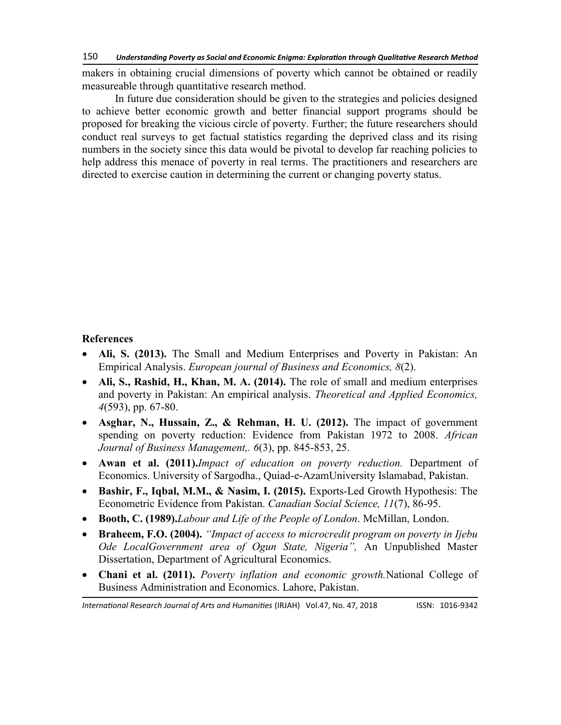makers in obtaining crucial dimensions of poverty which cannot be obtained or readily measureable through quantitative research method.

In future due consideration should be given to the strategies and policies designed to achieve better economic growth and better financial support programs should be proposed for breaking the vicious circle of poverty. Further; the future researchers should conduct real surveys to get factual statistics regarding the deprived class and its rising numbers in the society since this data would be pivotal to develop far reaching policies to help address this menace of poverty in real terms. The practitioners and researchers are directed to exercise caution in determining the current or changing poverty status.

# **References**

- **Ali, S. (2013).** The Small and Medium Enterprises and Poverty in Pakistan: An Empirical Analysis. *European journal of Business and Economics, 8*(2).
- **Ali, S., Rashid, H., Khan, M. A. (2014).** The role of small and medium enterprises and poverty in Pakistan: An empirical analysis. *Theoretical and Applied Economics, 4*(593), pp. 67-80.
- **Asghar, N., Hussain, Z., & Rehman, H. U. (2012).** The impact of government spending on poverty reduction: Evidence from Pakistan 1972 to 2008. *African Journal of Business Management,. 6*(3), pp. 845-853, 25.
- **Awan et al. (2011).***Impact of education on poverty reduction.* Department of Economics. University of Sargodha., Quiad-e-AzamUniversity Islamabad, Pakistan.
- **Bashir, F., Iqbal, M.M., & Nasim, I. (2015).** Exports-Led Growth Hypothesis: The Econometric Evidence from Pakistan. *Canadian Social Science, 11*(7), 86-95.
- **Booth, C. (1989).***Labour and Life of the People of London*. McMillan, London.
- **Braheem, F.O. (2004).** *''Impact of access to microcredit program on poverty in Ijebu* Ode LocalGovernment area of Ogun State, Nigeria<sup>"</sup>, An Unpublished Master Dissertation, Department of Agricultural Economics.
- **Chani et al. (2011).** *Poverty inflation and economic growth.*National College of Business Administration and Economics. Lahore, Pakistan.

*International Research Journal of Arts and Humanities* (IRJAH) Vol.47, No. 47, 2018 **ISSN: 1016-9342**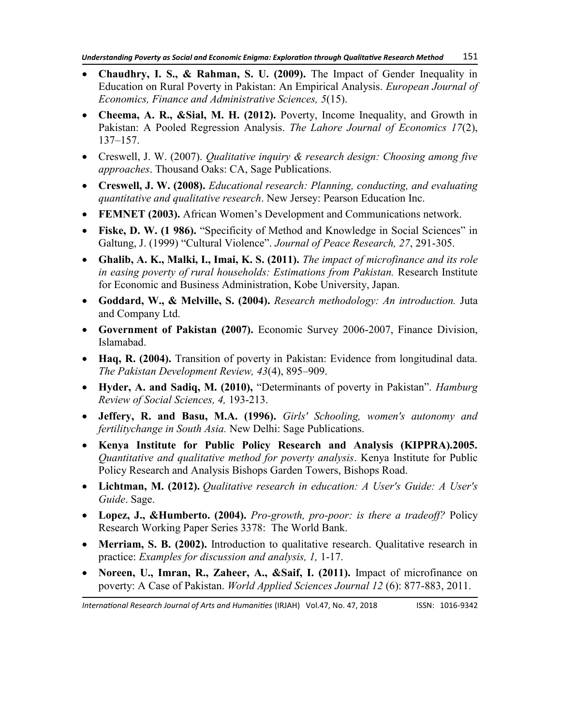- **Chaudhry, I. S., & Rahman, S. U. (2009).** The Impact of Gender Inequality in Education on Rural Poverty in Pakistan: An Empirical Analysis. *European Journal of Economics, Finance and Administrative Sciences, 5*(15).
- **Cheema, A. R., &Sial, M. H. (2012).** Poverty, Income Inequality, and Growth in Pakistan: A Pooled Regression Analysis. *The Lahore Journal of Economics 17*(2), 137–157.
- Creswell, J. W. (2007). *Qualitative inquiry & research design: Choosing among five approaches*. Thousand Oaks: CA, Sage Publications.
- **Creswell, J. W. (2008).** *Educational research: Planning, conducting, and evaluating quantitative and qualitative research*. New Jersey: Pearson Education Inc.
- **FEMNET (2003).** African Women's Development and Communications network.
- Fiske, D. W. (1 986). "Specificity of Method and Knowledge in Social Sciences" in Galtung, J. (1999) "Cultural Violence". *Journal of Peace Research, 27, 291-305.*
- **Ghalib, A. K., Malki, I., Imai, K. S. (2011).** *The impact of microfinance and its role in easing poverty of rural households: Estimations from Pakistan.* Research Institute for Economic and Business Administration, Kobe University, Japan.
- **Goddard, W., & Melville, S. (2004).** *Research methodology: An introduction.* Juta and Company Ltd.
- **Government of Pakistan (2007).** Economic Survey 2006-2007, Finance Division, Islamabad.
- **Haq, R. (2004).** Transition of poverty in Pakistan: Evidence from longitudinal data. *The Pakistan Development Review, 43*(4), 895–909.
- Hyder, A. and Sadiq, M. (2010), "Determinants of poverty in Pakistan". *Hamburg Review of Social Sciences, 4,* 193-213.
- **Jeffery, R. and Basu, M.A. (1996).** *Girls' Schooling, women's autonomy and fertilitychange in South Asia.* New Delhi: Sage Publications.
- **Kenya Institute for Public Policy Research and Analysis (KIPPRA).2005.** *Quantitative and qualitative method for poverty analysis*. Kenya Institute for Public Policy Research and Analysis Bishops Garden Towers, Bishops Road.
- **Lichtman, M. (2012).** *Qualitative research in education: A User's Guide: A User's Guide*. Sage.
- **Lopez, J., &Humberto. (2004).** *Pro-growth, pro-poor: is there a tradeoff?* Policy Research Working Paper Series 3378: The World Bank.
- **Merriam, S. B. (2002).** Introduction to qualitative research. Qualitative research in practice: *Examples for discussion and analysis, 1,* 1-17.
- **Noreen, U., Imran, R., Zaheer, A., &Saif, I. (2011).** Impact of microfinance on poverty: A Case of Pakistan. *World Applied Sciences Journal 12* (6): 877-883, 2011.

*International Research Journal of Arts and Humanities* (IRJAH) Vol.47, No. 47, 2018 **ISSN: 1016-9342**